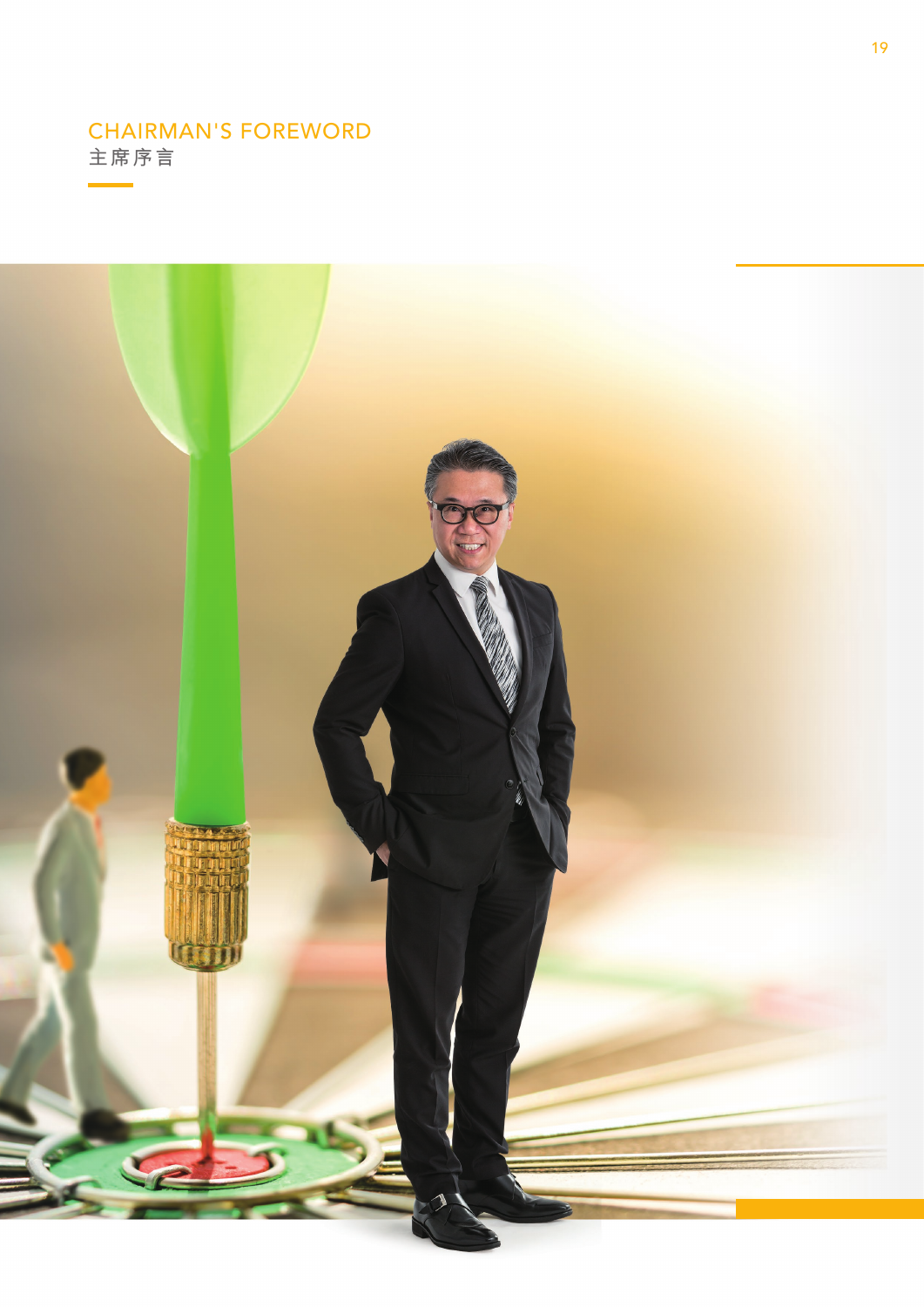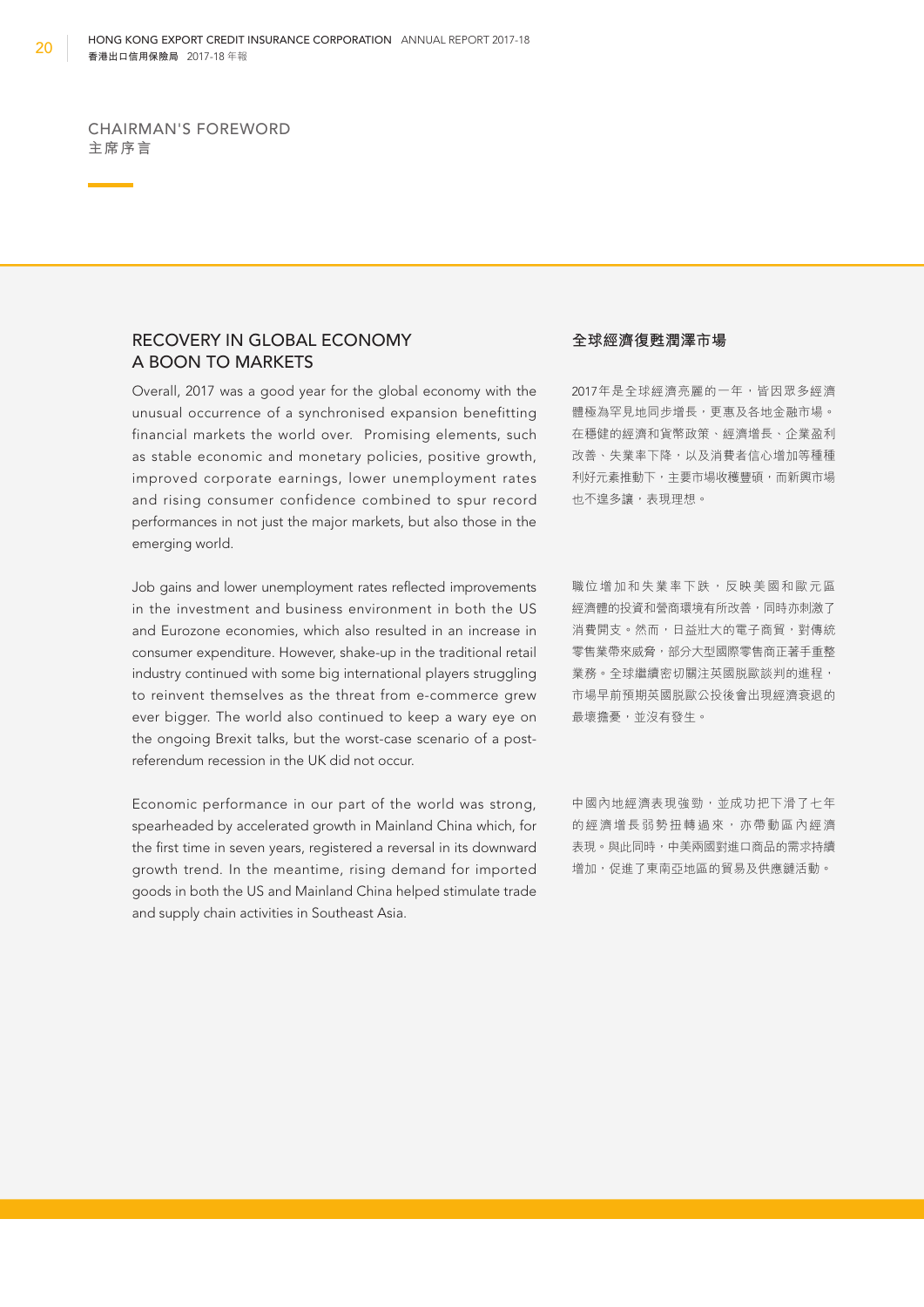### RECOVERY IN GLOBAL ECONOMY A BOON TO MARKETS

Overall, 2017 was a good year for the global economy with the unusual occurrence of a synchronised expansion benefitting financial markets the world over. Promising elements, such as stable economic and monetary policies, positive growth, improved corporate earnings, lower unemployment rates and rising consumer confidence combined to spur record performances in not just the major markets, but also those in the emerging world.

Job gains and lower unemployment rates refected improvements in the investment and business environment in both the US and Eurozone economies, which also resulted in an increase in consumer expenditure. However, shake-up in the traditional retail industry continued with some big international players struggling to reinvent themselves as the threat from e-commerce grew ever bigger. The world also continued to keep a wary eye on the ongoing Brexit talks, but the worst-case scenario of a postreferendum recession in the UK did not occur.

Economic performance in our part of the world was strong, spearheaded by accelerated growth in Mainland China which, for the first time in seven years, registered a reversal in its downward growth trend. In the meantime, rising demand for imported goods in both the US and Mainland China helped stimulate trade and supply chain activities in Southeast Asia.

#### **全球經濟復甦潤澤市場**

2017年是全球經濟亮麗的一年,皆因眾多經濟 體極為罕見地同步增長,更惠及各地金融市場。 在穩健的經濟和貨幣政策、經濟增長、企業盈利 改善、失業率下降,以及消費者信心增加等種種 利好元素推動下,主要市場收穫豐碩,而新興市場 也不遑多讓,表現理想。

職位增加和失業率下跌,反映美國和歐元區 經濟體的投資和營商環境有所改善,同時亦刺激了 消費開支。然而,日益壯大的電子商貿,對傳統 零售業帶來威脅,部分大型國際零售商正著手重整 業務。全球繼續密切關注英國脱歐談判的進程, 市場早前預期英國脫歐公投後會出現經濟衰退的 最壞擔憂,並沒有發生。

中國內地經濟表現強勁,並成功把下滑了七年 的經濟增長弱勢扭轉過來,亦帶動區內經濟 表現。與此同時,中美兩國對進口商品的需求持續 增加,促進了東南亞地區的貿易及供應鏈活動。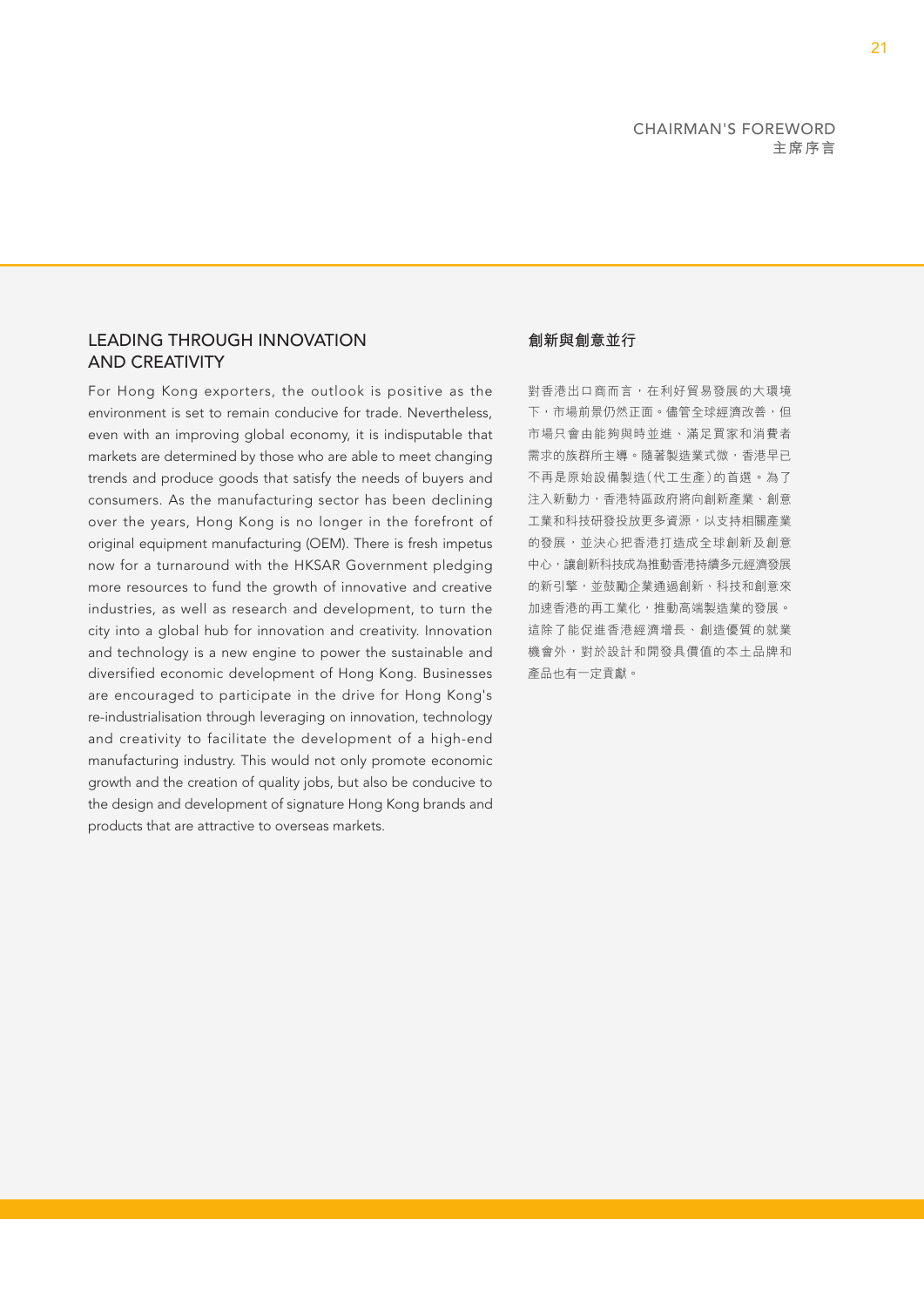### LEADING THROUGH INNOVATION AND CREATIVITY

For Hong Kong exporters, the outlook is positive as the environment is set to remain conducive for trade. Nevertheless, even with an improving global economy, it is indisputable that markets are determined by those who are able to meet changing trends and produce goods that satisfy the needs of buyers and consumers. As the manufacturing sector has been declining over the years, Hong Kong is no longer in the forefront of original equipment manufacturing (OEM). There is fresh impetus now for a turnaround with the HKSAR Government pledging more resources to fund the growth of innovative and creative industries, as well as research and development, to turn the city into a global hub for innovation and creativity. Innovation and technology is a new engine to power the sustainable and diversified economic development of Hong Kong. Businesses are encouraged to participate in the drive for Hong Kong's re-industrialisation through leveraging on innovation, technology and creativity to facilitate the development of a high-end manufacturing industry. This would not only promote economic growth and the creation of quality jobs, but also be conducive to the design and development of signature Hong Kong brands and products that are attractive to overseas markets.

### **創新與創意並行**

對香港出口商而言,在利好貿易發展的大環境 下,市場前景仍然正面。儘管全球經濟改善,但 市場只會由能夠與時並進、滿足買家和消費者 需求的族群所主導。隨著製造業式微,香港早已 不再是原始設備製造(代工生產)的首選。為了 注入新動力,香港特區政府將向創新產業、創意 工業和科技研發投放更多資源,以支持相關產業 的發展,並決心把香港打造成全球創新及創意 中心,讓創新科技成為推動香港持續多元經濟發展 的新引擎,並鼓勵企業通過創新、科技和創意來 加速香港的再工業化,推動高端製造業的發展。 這除了能促進香港經濟增長、創造優質的就業 機會外,對於設計和開發具價值的本土品牌和 產品也有一定貢獻。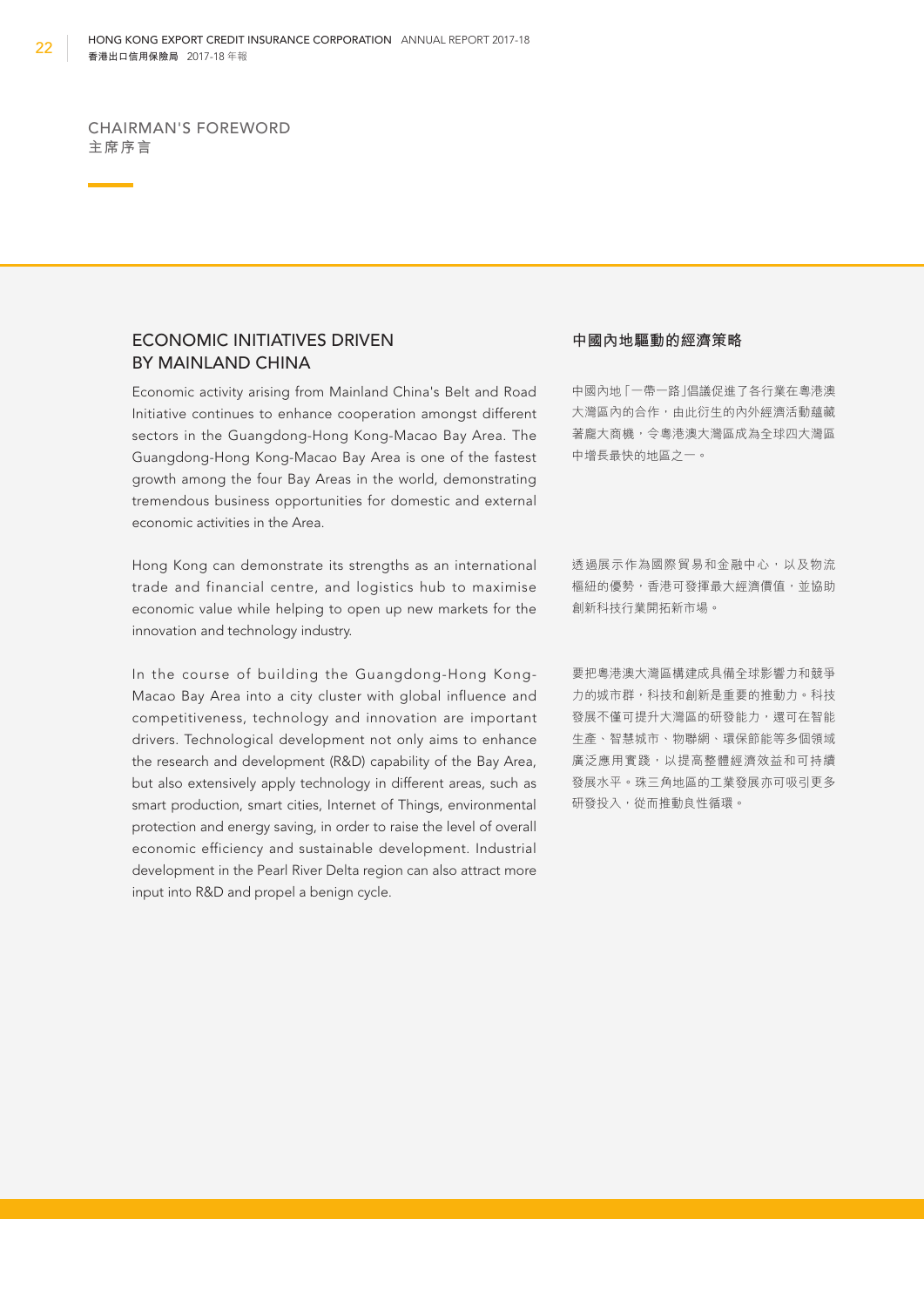## ECONOMIC INITIATIVES DRIVEN BY MAINLAND CHINA

Economic activity arising from Mainland China's Belt and Road Initiative continues to enhance cooperation amongst different sectors in the Guangdong-Hong Kong-Macao Bay Area. The Guangdong-Hong Kong-Macao Bay Area is one of the fastest growth among the four Bay Areas in the world, demonstrating tremendous business opportunities for domestic and external economic activities in the Area.

Hong Kong can demonstrate its strengths as an international trade and financial centre, and logistics hub to maximise economic value while helping to open up new markets for the innovation and technology industry.

In the course of building the Guangdong-Hong Kong-Macao Bay Area into a city cluster with global influence and competitiveness, technology and innovation are important drivers. Technological development not only aims to enhance the research and development (R&D) capability of the Bay Area, but also extensively apply technology in different areas, such as smart production, smart cities, Internet of Things, environmental protection and energy saving, in order to raise the level of overall economic efficiency and sustainable development. Industrial development in the Pearl River Delta region can also attract more input into R&D and propel a benign cycle.

#### **中國內地驅動的經濟策略**

中國內地「一帶一路」倡議促進了各行業在粵港澳 大灣區內的合作,由此衍生的內外經濟活動蘊藏 著龐大商機,令粵港澳大灣區成為全球四大灣區 中增長最快的地區之一。

透過展示作為國際貿易和金融中心,以及物流 樞紐的優勢,香港可發揮最大經濟價值,並協助 創新科技行業開拓新市場。

要把粵港澳大灣區構建成具備全球影響力和競爭 力的城市群,科技和創新是重要的推動力。科技 發展不僅可提升大灣區的研發能力,還可在智能 生產、智慧城市、物聯網、環保節能等多個領域 廣泛應用實踐,以提高整體經濟效益和可持續 發展水平。珠三角地區的工業發展亦可吸引更多 研發投入,從而推動良性循環。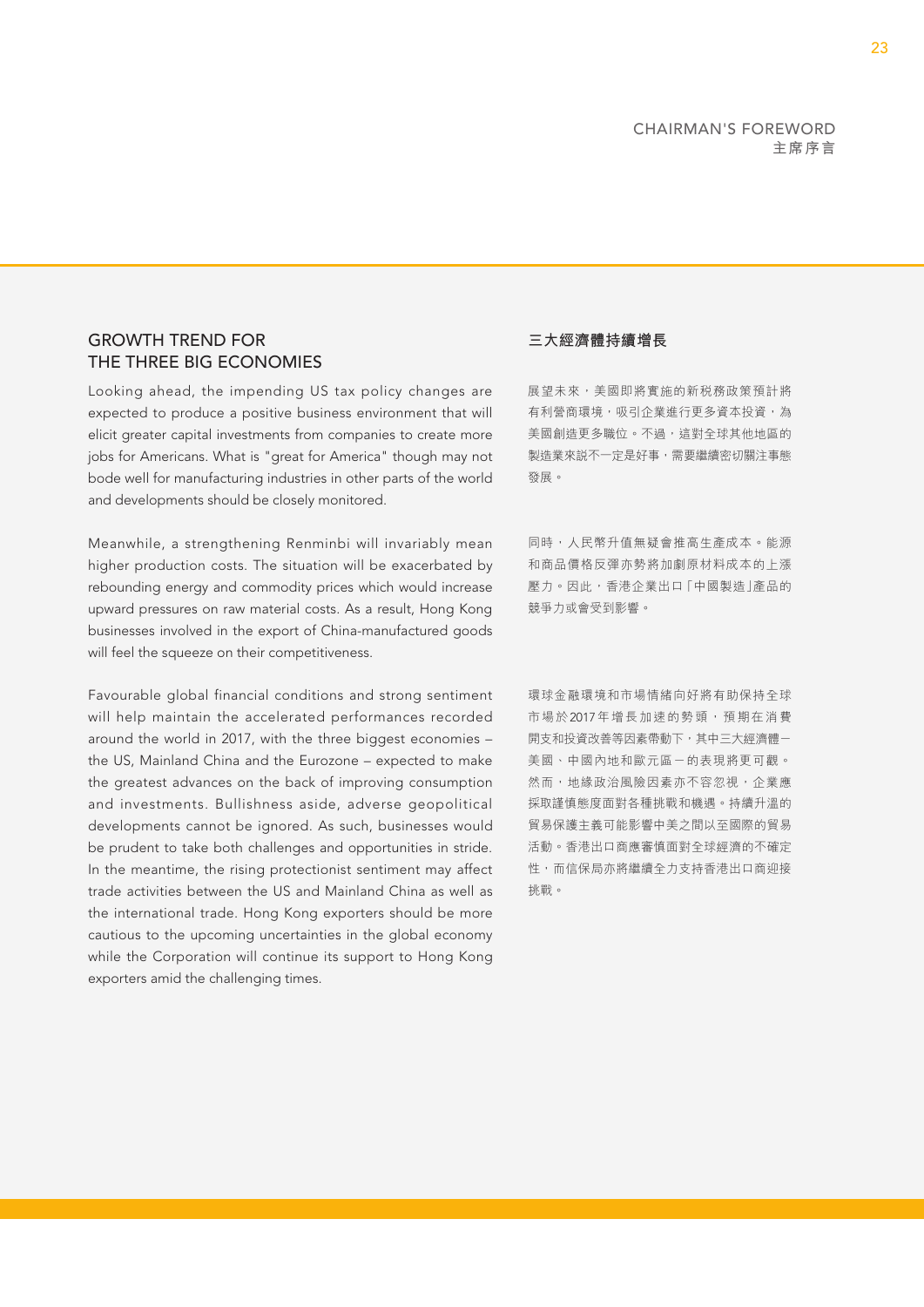# GROWTH TREND FOR THE THREE BIG ECONOMIES

Looking ahead, the impending US tax policy changes are expected to produce a positive business environment that will elicit greater capital investments from companies to create more jobs for Americans. What is "great for America" though may not bode well for manufacturing industries in other parts of the world and developments should be closely monitored.

Meanwhile, a strengthening Renminbi will invariably mean higher production costs. The situation will be exacerbated by rebounding energy and commodity prices which would increase upward pressures on raw material costs. As a result, Hong Kong businesses involved in the export of China-manufactured goods will feel the squeeze on their competitiveness.

Favourable global financial conditions and strong sentiment will help maintain the accelerated performances recorded around the world in 2017, with the three biggest economies – the US, Mainland China and the Eurozone – expected to make the greatest advances on the back of improving consumption and investments. Bullishness aside, adverse geopolitical developments cannot be ignored. As such, businesses would be prudent to take both challenges and opportunities in stride. In the meantime, the rising protectionist sentiment may affect trade activities between the US and Mainland China as well as the international trade. Hong Kong exporters should be more cautious to the upcoming uncertainties in the global economy while the Corporation will continue its support to Hong Kong exporters amid the challenging times.

### **三大經濟體持續增長**

展望未來,美國即將實施的新税務政策預計將 有利營商環境,吸引企業進行更多資本投資,為 美國創造更多職位。不過,這對全球其他地區的 製造業來説不一定是好事,需要繼續密切關注事態 發展。

同時,人民幣升值無疑會推高生產成本。能源 和商品價格反彈亦勢將加劇原材料成本的上漲 壓力。因此,香港企業出口「中國製造」產品的 競爭力或會受到影響。

環球金融環境和市場情緒向好將有助保持全球 市場於2017年增長加速的勢頭,預期在消費 開支和投資改善等因素帶動下,其中三大經濟體一 美國、中國內地和歐元區-的表現將更可觀。 然而,地緣政治風險因素亦不容忽視,企業應 採取謹慎態度面對各種挑戰和機遇。持續升溫的 貿易保護主義可能影響中美之間以至國際的貿易 活動。香港出口商應審慎面對全球經濟的不確定 性,而信保局亦將繼續全力支持香港出口商迎接 挑戰。